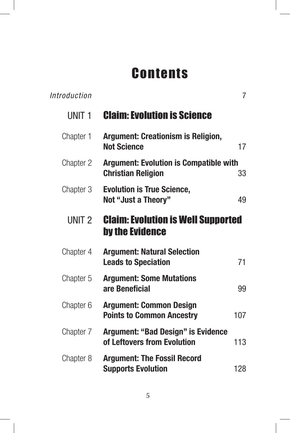# **Contents**

| 7   |                                                                            | Introduction      |
|-----|----------------------------------------------------------------------------|-------------------|
|     | <b>Claim: Evolution is Science</b>                                         | UNIT <sub>1</sub> |
| 17  | <b>Argument: Creationism is Religion,</b><br><b>Not Science</b>            | Chapter 1         |
| 33  | <b>Argument: Evolution is Compatible with</b><br><b>Christian Religion</b> | Chapter 2         |
| 49  | <b>Evolution is True Science,</b><br>Not "Just a Theory"                   | Chapter 3         |
|     | <b>Claim: Evolution is Well Supported</b><br>by the Evidence               | UNIT <sub>2</sub> |
| 71  | <b>Argument: Natural Selection</b><br><b>Leads to Speciation</b>           | Chapter 4         |
| 99  | <b>Argument: Some Mutations</b><br>are Beneficial                          | Chapter 5         |
| 107 | <b>Argument: Common Design</b><br><b>Points to Common Ancestry</b>         | Chapter 6         |
| 113 | <b>Argument: "Bad Design" is Evidence</b><br>of Leftovers from Evolution   | Chapter 7         |
| 128 | <b>Argument: The Fossil Record</b><br><b>Supports Evolution</b>            | Chapter 8         |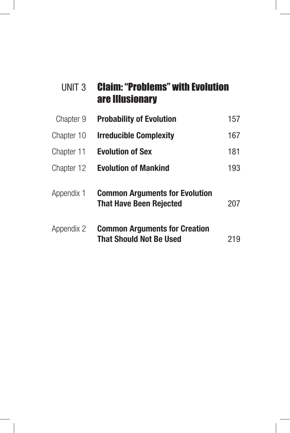| UNIT 3 | <b>Claim: "Problems" with Evolution</b> |
|--------|-----------------------------------------|
|        | <b>are Illusionary</b>                  |

| Chapter 9  | <b>Probability of Evolution</b>                                         | 157 |
|------------|-------------------------------------------------------------------------|-----|
| Chapter 10 | <b>Irreducible Complexity</b>                                           | 167 |
| Chapter 11 | <b>Evolution of Sex</b>                                                 | 181 |
| Chapter 12 | <b>Evolution of Mankind</b>                                             | 193 |
| Appendix 1 | <b>Common Arguments for Evolution</b><br><b>That Have Been Rejected</b> | 207 |
| Appendix 2 | <b>Common Arguments for Creation</b><br><b>That Should Not Be Used</b>  | 19  |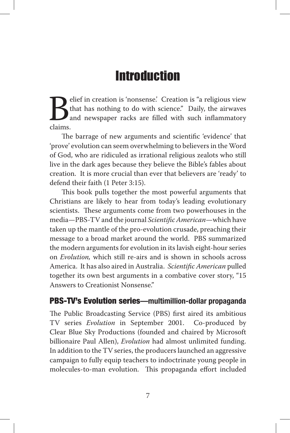# **Introduction**

Belief in creation is 'nonsense.' Creation is "a religious view<br>that has nothing to do with science." Daily, the airwaves<br>claims. that has nothing to do with science." Daily, the airwaves and newspaper racks are filled with such inflammatory claims.

The barrage of new arguments and scientific 'evidence' that 'prove' evolution can seem overwhelming to believers in the Word of God, who are ridiculed as irrational religious zealots who still live in the dark ages because they believe the Bible's fables about creation. It is more crucial than ever that believers are 'ready' to defend their faith (1 Peter 3:15).

This book pulls together the most powerful arguments that Christians are likely to hear from today's leading evolutionary scientists. These arguments come from two powerhouses in the media—PBS-TV and the journal *Scientific American*—which have taken up the mantle of the pro-evolution crusade, preaching their message to a broad market around the world. PBS summarized the modern arguments for evolution in its lavish eight-hour series on *Evolution,* which still re-airs and is shown in schools across America. It has also aired in Australia. *Scientific American* pulled together its own best arguments in a combative cover story, "15 Answers to Creationist Nonsense"

### PBS-TV's Evolution series—multimillion-dollar propaganda

The Public Broadcasting Service (PBS) first aired its ambitious TV series *Evolution* in September 2001. Co-produced by Clear Blue Sky Productions (founded and chaired by Microsoft billionaire Paul Allen), *Evolution* had almost unlimited funding. In addition to the TV series, the producers launched an aggressive campaign to fully equip teachers to indoctrinate young people in molecules-to-man evolution. This propaganda effort included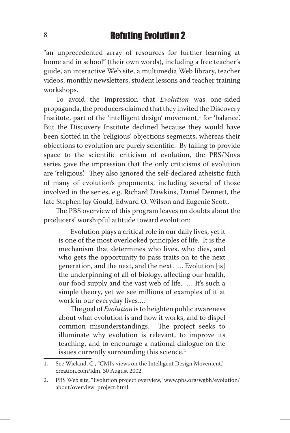### 8 Refuting Evolution 2

"an unprecedented array of resources for further learning at home and in school" (their own words), including a free teacher's guide, an interactive Web site, a multimedia Web library, teacher videos, monthly newsletters, student lessons and teacher training workshops.

To avoid the impression that *Evolution* was one-sided propaganda, the producers claimed that they invited the Discovery Institute, part of the 'intelligent design' movement, $^1$  for 'balance'. But the Discovery Institute declined because they would have been slotted in the 'religious' objections segments, whereas their objections to evolution are purely scientific. By failing to provide space to the scientific criticism of evolution, the PBS/Nova series gave the impression that the only criticisms of evolution are 'religious'. They also ignored the self-declared atheistic faith of many of evolution's proponents, including several of those involved in the series, e.g. Richard Dawkins, Daniel Dennett, the late Stephen Jay Gould, Edward O. Wilson and Eugenie Scott.

The PBS overview of this program leaves no doubts about the producers' worshipful attitude toward evolution:

Evolution plays a critical role in our daily lives, yet it is one of the most overlooked principles of life. It is the mechanism that determines who lives, who dies, and who gets the opportunity to pass traits on to the next generation, and the next, and the next. … Evolution [is] the underpinning of all of biology, affecting our health, our food supply and the vast web of life. … It's such a simple theory, yet we see millions of examples of it at work in our everyday lives.…

The goal of *Evolution* is to heighten public awareness about what evolution is and how it works, and to dispel common misunderstandings. The project seeks to illuminate why evolution is relevant, to improve its teaching, and to encourage a national dialogue on the issues currently surrounding this science.<sup>2</sup>

<sup>1.</sup> See Wieland, C., "CMI's views on the Intelligent Design Movement," creation.com/idm, 30 August 2002.

<sup>2.</sup> PBS Web site, "Evolution project overview," www.pbs.org/wgbh/evolution/ about/overview\_project.html.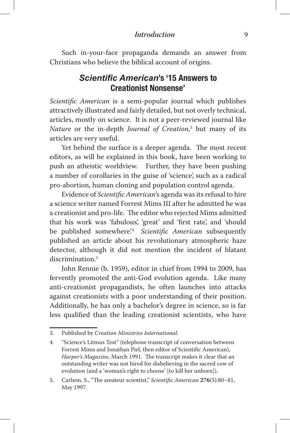Such in-your-face propaganda demands an answer from Christians who believe the biblical account of origins.

### *Scientific American*'s '15 Answers to Creationist Nonsense'

*Scientific American* is a semi-popular journal which publishes attractively illustrated and fairly detailed, but not overly technical, articles, mostly on science. It is not a peer-reviewed journal like *Nature* or the in-depth *Journal of Creation*, 3 but many of its articles are very useful.

Yet behind the surface is a deeper agenda. The most recent editors, as will be explained in this book, have been working to push an atheistic worldview. Further, they have been pushing a number of corollaries in the guise of 'science', such as a radical pro-abortion, human cloning and population control agenda.

Evidence of *Scientific American*'s agenda was its refusal to hire a science writer named Forrest Mims III after he admitted he was a creationist and pro-life. The editor who rejected Mims admitted that his work was 'fabulous', 'great' and 'first rate', and 'should be published somewhere<sup>'4</sup> *Scientific American* subsequently published an article about his revolutionary atmospheric haze detector, although it did not mention the incident of blatant discrimination.<sup>5</sup>

John Rennie (b. 1959), editor in chief from 1994 to 2009, has fervently promoted the anti-God evolution agenda. Like many anti-creationist propagandists, he often launches into attacks against creationists with a poor understanding of their position. Additionally, he has only a bachelor's degree in science, so is far less qualified than the leading creationist scientists, who have

<sup>3.</sup> Published by *Creation Ministries International.*

<sup>4.</sup> "Science's Litmus Test" (telephone transcript of conversation between Forrest Mims and Jonathan Piel, then editor of Scientific American), *Harper's Magazine*, March 1991. The transcript makes it clear that an outstanding writer was not hired for disbelieving in the sacred cow of evolution (and a 'woman's right to choose' [to kill her unborn]).

<sup>5.</sup> Carlson, S., "The amateur scientist," *Scientific American* **276**(5):80–81, May 1997.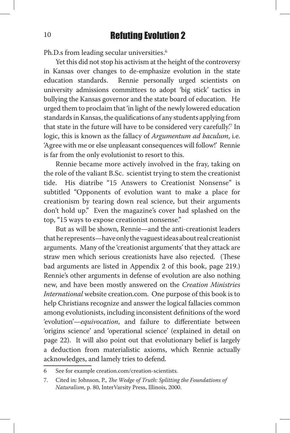### 10 Refuting Evolution 2

Ph.D.s from leading secular universities.<sup>6</sup>

Yet this did not stop his activism at the height of the controversy in Kansas over changes to de-emphasize evolution in the state education standards. Rennie personally urged scientists on university admissions committees to adopt 'big stick' tactics in bullying the Kansas governor and the state board of education. He urged them to proclaim that 'in light of the newly lowered education standards in Kansas, the qualifications of any students applying from that state in the future will have to be considered very carefully.'7 In logic, this is known as the fallacy of *Argumentum ad baculum*, i.e. 'Agree with me or else unpleasant consequences will follow!' Rennie is far from the only evolutionist to resort to this.

Rennie became more actively involved in the fray, taking on the role of the valiant B.Sc. scientist trying to stem the creationist tide. His diatribe "15 Answers to Creationist Nonsense" is subtitled "Opponents of evolution want to make a place for creationism by tearing down real science, but their arguments don't hold up." Even the magazine's cover had splashed on the top, "15 ways to expose creationist nonsense."

But as will be shown, Rennie—and the anti-creationist leaders that he represents—have only the vaguest ideas about real creationist arguments. Many of the 'creationist arguments' that they attack are straw men which serious creationists have also rejected. (These bad arguments are listed in Appendix 2 of this book, page 219.) Rennie's other arguments in defense of evolution are also nothing new, and have been mostly answered on the *Creation Ministries International* website creation.com. One purpose of this book is to help Christians recognize and answer the logical fallacies common among evolutionists, including inconsistent definitions of the word 'evolution'—*equivocation*, and failure to differentiate between 'origins science' and 'operational science' (explained in detail on page 22). It will also point out that evolutionary belief is largely a deduction from materialistic axioms, which Rennie actually acknowledges, and lamely tries to defend.

<sup>6</sup> See for example creation.com/creation-scientists.

<sup>7.</sup> Cited in: Johnson, P., *The Wedge of Truth: Splitting the Foundations of Naturalism*, p. 80, InterVarsity Press, Illinois, 2000.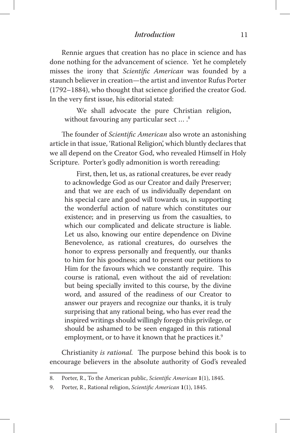Rennie argues that creation has no place in science and has done nothing for the advancement of science. Yet he completely misses the irony that *Scientific American* was founded by a staunch believer in creation—the artist and inventor Rufus Porter (1792–1884), who thought that science glorified the creator God. In the very first issue, his editorial stated:

We shall advocate the pure Christian religion, without favouring any particular sect ... .<sup>8</sup>

The founder of *Scientific American* also wrote an astonishing article in that issue, 'Rational Religion', which bluntly declares that we all depend on the Creator God, who revealed Himself in Holy Scripture. Porter's godly admonition is worth rereading:

First, then, let us, as rational creatures, be ever ready to acknowledge God as our Creator and daily Preserver; and that we are each of us individually dependant on his special care and good will towards us, in supporting the wonderful action of nature which constitutes our existence; and in preserving us from the casualties, to which our complicated and delicate structure is liable. Let us also, knowing our entire dependence on Divine Benevolence, as rational creatures, do ourselves the honor to express personally and frequently, our thanks to him for his goodness; and to present our petitions to Him for the favours which we constantly require. This course is rational, even without the aid of revelation: but being specially invited to this course, by the divine word, and assured of the readiness of our Creator to answer our prayers and recognize our thanks, it is truly surprising that any rational being, who has ever read the inspired writings should willingly forego this privilege, or should be ashamed to be seen engaged in this rational employment, or to have it known that he practices it.<sup>9</sup>

Christianity *is rational.* The purpose behind this book is to encourage believers in the absolute authority of God's revealed

<sup>8.</sup> Porter, R., To the American public, *Scientific American* **1**(1), 1845.

<sup>9.</sup> Porter, R., Rational religion, *Scientific American* **1**(1), 1845.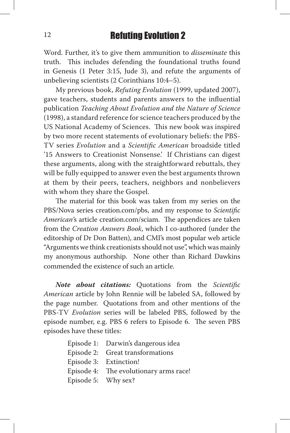Word. Further, it's to give them ammunition to *disseminate* this truth. This includes defending the foundational truths found in Genesis (1 Peter 3:15, Jude 3), and refute the arguments of unbelieving scientists (2 Corinthians 10:4–5).

My previous book, *Refuting Evolution* (1999, updated 2007), gave teachers, students and parents answers to the influential publication *Teaching About Evolution and the Nature of Science* (1998), a standard reference for science teachers produced by the US National Academy of Sciences. This new book was inspired by two more recent statements of evolutionary beliefs: the PBS-TV series *Evolution* and a *Scientific American* broadside titled '15 Answers to Creationist Nonsense.' If Christians can digest these arguments, along with the straightforward rebuttals, they will be fully equipped to answer even the best arguments thrown at them by their peers, teachers, neighbors and nonbelievers with whom they share the Gospel.

The material for this book was taken from my series on the PBS/Nova series creation.com/pbs, and my response to *Scientific American'*s article creation.com/sciam. The appendices are taken from the *Creation Answers Book*, which I co-authored (under the editorship of Dr Don Batten), and CMI's most popular web article "Arguments we think creationists should not use", which was mainly my anonymous authorship. None other than Richard Dawkins commended the existence of such an article.

*Note about citations:* Quotations from the *Scientific American* article by John Rennie will be labeled SA, followed by the page number. Quotations from and other mentions of the PBS-TV *Evolution* series will be labeled PBS, followed by the episode number, e.g. PBS 6 refers to Episode 6. The seven PBS episodes have these titles:

| Episode 1: Darwin's dangerous idea     |  |
|----------------------------------------|--|
| Episode 2: Great transformations       |  |
| Episode 3: Extinction!                 |  |
| Episode 4: The evolutionary arms race! |  |
| Episode 5: Why sex?                    |  |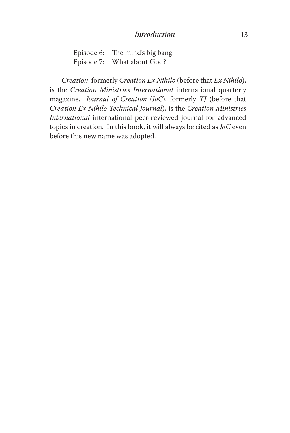Episode 6: The mind's big bang Episode 7: What about God?

*Creation*, formerly *Creation Ex Nihilo* (before that *Ex Nihilo*), is the *Creation Ministries International* international quarterly magazine. *Journal of Creation* (*JoC*), formerly *TJ* (before that *Creation Ex Nihilo Technical Journal*), is the *Creation Ministries International* international peer-reviewed journal for advanced topics in creation. In this book, it will always be cited as *JoC* even before this new name was adopted.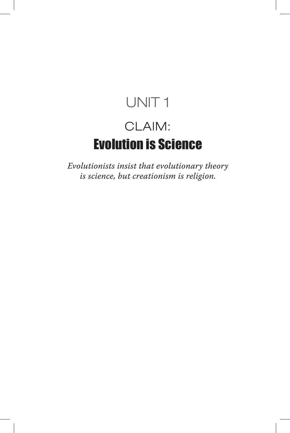# UNIT 1 CLAIM: Evolution is Science

*Evolutionists insist that evolutionary theory is science, but creationism is religion.*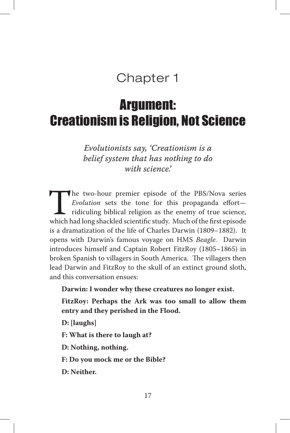### Chapter 1

## Argument: Creationism is Religion, Not Science

*Evolutionists say, 'Creationism is a belief system that has nothing to do with science.'*

The two-hour premier episode of the PBS/Nova series<br> *Evolution* sets the tone for this propaganda effort—<br>
ridiculing biblical religion as the enemy of true science,<br>
which had long shackled scientific study. Much of the *Evolution* sets the tone for this propaganda effort ridiculing biblical religion as the enemy of true science, which had long shackled scientific study. Much of the first episode is a dramatization of the life of Charles Darwin (1809–1882). It opens with Darwin's famous voyage on HMS *Beagle.* Darwin introduces himself and Captain Robert FitzRoy (1805–1865) in broken Spanish to villagers in South America. The villagers then lead Darwin and FitzRoy to the skull of an extinct ground sloth, and this conversation ensues:

**Darwin: I wonder why these creatures no longer exist.**

**FitzRoy: Perhaps the Ark was too small to allow them entry and they perished in the Flood.**

**D: [laughs]**

**F: What is there to laugh at?**

**D: Nothing, nothing.**

**F: Do you mock me or the Bible?**

**D: Neither.**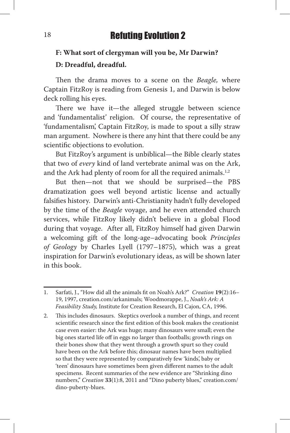### **F: What sort of clergyman will you be, Mr Darwin?**

#### **D: Dreadful, dreadful.**

Then the drama moves to a scene on the *Beagle,* where Captain FitzRoy is reading from Genesis 1, and Darwin is below deck rolling his eyes.

There we have it—the alleged struggle between science and 'fundamentalist' religion. Of course, the representative of 'fundamentalism', Captain FitzRoy, is made to spout a silly straw man argument. Nowhere is there any hint that there could be any scientific objections to evolution.

But FitzRoy's argument is unbiblical—the Bible clearly states that two of *every* kind of land vertebrate animal was on the Ark, and the Ark had plenty of room for all the required animals.<sup>1,2</sup>

But then—not that we should be surprised—the PBS dramatization goes well beyond artistic license and actually falsifies history. Darwin's anti-Christianity hadn't fully developed by the time of the *Beagle* voyage, and he even attended church services, while FitzRoy likely didn't believe in a global Flood during that voyage. After all, FitzRoy himself had given Darwin a welcoming gift of the long-age–advocating book *Principles of Geology* by Charles Lyell (1797–1875), which was a great inspiration for Darwin's evolutionary ideas, as will be shown later in this book.

<sup>1.</sup> Sarfati, J., "How did all the animals fit on Noah's Ark?" *Creation* **19**(2):16– 19, 1997, creation.com/arkanimals; Woodmorappe, J., *Noah's Ark: A Feasibility Study,* Institute for Creation Research, El Cajon, CA, 1996.

<sup>2.</sup> This includes dinosaurs. Skeptics overlook a number of things, and recent scientific research since the first edition of this book makes the creationist case even easier: the Ark was huge; many dinosaurs were small; even the big ones started life off in eggs no larger than footballs; growth rings on their bones show that they went through a growth spurt so they could have been on the Ark before this; dinosaur names have been multiplied so that they were represented by comparatively few 'kinds', baby or 'teen' dinosaurs have sometimes been given different names to the adult specimens. Recent summaries of the new evidence are "Shrinking dino numbers," *Creation* **33**(1):8, 2011 and "Dino puberty blues," creation.com/ dino-puberty-blues.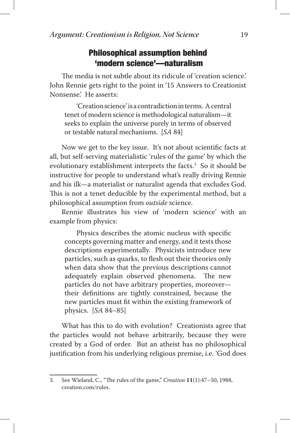### Philosophical assumption behind 'modern science'—naturalism

The media is not subtle about its ridicule of 'creation science.' John Rennie gets right to the point in '15 Answers to Creationist Nonsense.' He asserts:

'Creation science' is a contradiction in terms. A central tenet of modern science is methodological naturalism—it seeks to explain the universe purely in terms of observed or testable natural mechanisms. [*SA* 84]

Now we get to the key issue. It's not about scientific facts at all, but self-serving materialistic 'rules of the game' by which the evolutionary establishment interprets the facts.3 So it should be instructive for people to understand what's really driving Rennie and his ilk—a materialist or naturalist agenda that excludes God. This is not a tenet deducible by the experimental method, but a philosophical assumption from *outside* science.

Rennie illustrates his view of 'modern science' with an example from physics:

Physics describes the atomic nucleus with specific concepts governing matter and energy, and it tests those descriptions experimentally. Physicists introduce new particles, such as quarks, to flesh out their theories only when data show that the previous descriptions cannot adequately explain observed phenomena. The new particles do not have arbitrary properties, moreover their definitions are tightly constrained, because the new particles must fit within the existing framework of physics. [*SA* 84–85]

What has this to do with evolution? Creationists agree that the particles would not behave arbitrarily, because they were created by a God of order. But an atheist has no philosophical justification from his underlying religious premise, i.e. 'God does

<sup>3.</sup> See Wieland, C., "The rules of the game," *Creation* **11**(1):47–50, 1988, creation.com/rules.